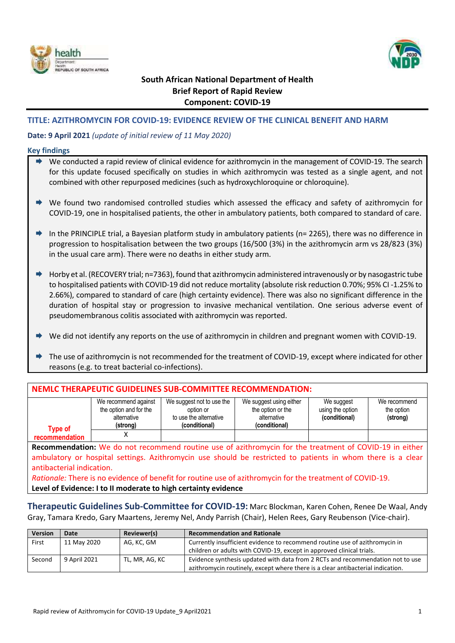



# **South African National Department of Health Brief Report of Rapid Review Component: COVID-19**

# **TITLE: AZITHROMYCIN FOR COVID-19: EVIDENCE REVIEW OF THE CLINICAL BENEFIT AND HARM**

# **Date: 9 April 2021** *(update of initial review of 11 May 2020)*

### **Key findings**

| → We conducted a rapid review of clinical evidence for azithromycin in the management of COVID-19. The search |
|---------------------------------------------------------------------------------------------------------------|
| for this update focused specifically on studies in which azithromycin was tested as a single agent, and not   |
| combined with other repurposed medicines (such as hydroxychloroquine or chloroquine).                         |

- We found two randomised controlled studies which assessed the efficacy and safety of azithromycin for COVID-19, one in hospitalised patients, the other in ambulatory patients, both compared to standard of care.
- ♦ In the PRINCIPLE trial, a Bayesian platform study in ambulatory patients (n= 2265), there was no difference in progression to hospitalisation between the two groups (16/500 (3%) in the azithromycin arm vs 28/823 (3%) in the usual care arm). There were no deaths in either study arm.
- Horby et al. (RECOVERY trial; n=7363), found that azithromycin administered intravenously or by nasogastric tube to hospitalised patients with COVID-19 did not reduce mortality (absolute risk reduction 0.70%; 95% CI -1.25% to 2.66%), compared to standard of care (high certainty evidence). There was also no significant difference in the duration of hospital stay or progression to invasive mechanical ventilation. One serious adverse event of pseudomembranous colitis associated with azithromycin was reported.
- We did not identify any reports on the use of azithromycin in children and pregnant women with COVID-19.
- The use of azithromycin is not recommended for the treatment of COVID-19, except where indicated for other reasons (e.g. to treat bacterial co-infections).

| NEMLC THERAPEUTIC GUIDELINES SUB-COMMITTEE RECOMMENDATION:                                                      |                                                                           |                                                                                   |                                                                              |                                                 |                                        |
|-----------------------------------------------------------------------------------------------------------------|---------------------------------------------------------------------------|-----------------------------------------------------------------------------------|------------------------------------------------------------------------------|-------------------------------------------------|----------------------------------------|
| <b>Type of</b>                                                                                                  | We recommend against<br>the option and for the<br>alternative<br>(strong) | We suggest not to use the<br>option or<br>to use the alternative<br>(conditional) | We suggest using either<br>the option or the<br>alternative<br>(conditional) | We suggest<br>using the option<br>(conditional) | We recommend<br>the option<br>(strong) |
| recommendation                                                                                                  | χ                                                                         |                                                                                   |                                                                              |                                                 |                                        |
| Recommendation: We do not recommend routine use of azithromycin for the treatment of COVID-19 in either         |                                                                           |                                                                                   |                                                                              |                                                 |                                        |
| ambulatory or hospital settings. Azithromycin use should be restricted to patients in whom there is a clear     |                                                                           |                                                                                   |                                                                              |                                                 |                                        |
| antibacterial indication.                                                                                       |                                                                           |                                                                                   |                                                                              |                                                 |                                        |
| <i>Rationale:</i> There is no evidence of benefit for routine use of azithromycin for the treatment of COVID-19 |                                                                           |                                                                                   |                                                                              |                                                 |                                        |

*Rationale:* There is no evidence of benefit for routine use of azithromycin for the treatment of COVID-19. **Level of Evidence: I to II moderate to high certainty evidence**

**Therapeutic Guidelines Sub-Committee for COVID-19:** Marc Blockman, Karen Cohen, Renee De Waal, Andy Gray, Tamara Kredo, Gary Maartens, Jeremy Nel, Andy Parrish (Chair), Helen Rees, Gary Reubenson (Vice-chair).

| Version | Date         | Reviewer(s)    | <b>Recommendation and Rationale</b>                                             |  |
|---------|--------------|----------------|---------------------------------------------------------------------------------|--|
| First   | 11 May 2020  | AG, KC, GM     | Currently insufficient evidence to recommend routine use of azithromycin in     |  |
|         |              |                | children or adults with COVID-19, except in approved clinical trials.           |  |
| Second  | 9 April 2021 | TL, MR, AG, KC | Evidence synthesis updated with data from 2 RCTs and recommendation not to use  |  |
|         |              |                | azithromycin routinely, except where there is a clear antibacterial indication. |  |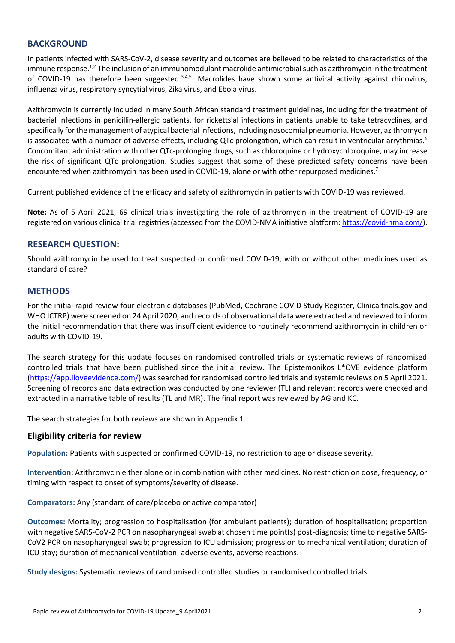# **BACKGROUND**

In patients infected with SARS-CoV-2, disease severity and outcomes are believed to be related to characteristics of the immune response.<sup>1,2</sup> The inclusion of an immunomodulant macrolide antimicrobial such as azithromycin in the treatment of COVID-19 has therefore been suggested.<sup>3,4,5</sup> Macrolides have shown some antiviral activity against rhinovirus, influenza virus, respiratory syncytial virus, Zika virus, and Ebola virus.

Azithromycin is currently included in many South African standard treatment guidelines, including for the treatment of bacterial infections in penicillin-allergic patients, for rickettsial infections in patients unable to take tetracyclines, and specifically for the management of atypical bacterial infections, including nosocomial pneumonia. However, azithromycin is associated with a number of adverse effects, including QTc prolongation, which can result in ventricular arrythmias.<sup>6</sup> Concomitant administration with other QTc-prolonging drugs, such as chloroquine or hydroxychloroquine, may increase the risk of significant QTc prolongation. Studies suggest that some of these predicted safety concerns have been encountered when azithromycin has been used in COVID-19, alone or with other repurposed medicines.<sup>7</sup>

Current published evidence of the efficacy and safety of azithromycin in patients with COVID-19 was reviewed.

**Note:** As of 5 April 2021, 69 clinical trials investigating the role of azithromycin in the treatment of COVID-19 are registered on various clinical trial registries (accessed from the COVID-NMA initiative platform[: https://covid-nma.com/\)](https://covid-nma.com/).

# **RESEARCH QUESTION:**

Should azithromycin be used to treat suspected or confirmed COVID-19, with or without other medicines used as standard of care?

# **METHODS**

For the initial rapid review four electronic databases (PubMed, Cochrane COVID Study Register, Clinicaltrials.gov and WHO ICTRP) were screened on 24 April 2020, and records of observational data were extracted and reviewed to inform the initial recommendation that there was insufficient evidence to routinely recommend azithromycin in children or adults with COVID-19.

The search strategy for this update focuses on randomised controlled trials or systematic reviews of randomised controlled trials that have been published since the initial review. The Epistemonikos L\*OVE evidence platform (https://app.iloveevidence.com/) was searched for randomised controlled trials and systemic reviews on 5 April 2021. Screening of records and data extraction was conducted by one reviewer (TL) and relevant records were checked and extracted in a narrative table of results (TL and MR). The final report was reviewed by AG and KC.

The search strategies for both reviews are shown in Appendix 1.

# **Eligibility criteria for review**

**Population:** Patients with suspected or confirmed COVID-19, no restriction to age or disease severity.

**Intervention:** Azithromycin either alone or in combination with other medicines. No restriction on dose, frequency, or timing with respect to onset of symptoms/severity of disease.

**Comparators:** Any (standard of care/placebo or active comparator)

**Outcomes:** Mortality; progression to hospitalisation (for ambulant patients); duration of hospitalisation; proportion with negative SARS-CoV-2 PCR on nasopharyngeal swab at chosen time point(s) post-diagnosis; time to negative SARS-CoV2 PCR on nasopharyngeal swab; progression to ICU admission; progression to mechanical ventilation; duration of ICU stay; duration of mechanical ventilation; adverse events, adverse reactions.

**Study designs:** Systematic reviews of randomised controlled studies or randomised controlled trials.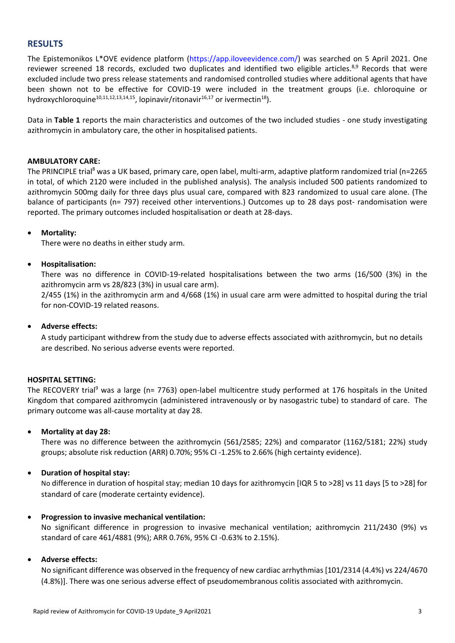# **RESULTS**

<span id="page-2-0"></span>The Epistemonikos L\*OVE evidence platform (https://app.iloveevidence.com/) was searched on 5 April 2021. One reviewer screened 18 records, excluded two duplicates and identified two eligible articles.<sup>8,9</sup> Records that were excluded include two press release statements and randomised controlled studies where additional agents that have been shown not to be effective for COVID-19 were included in the treatment groups (i.e. chloroquine or hydroxychloroquine<sup>10,11,12,13,14,15</sup>, lopinavir/ritonavir<sup>16,17</sup> or ivermectin<sup>18</sup>).

Data in **Table 1** reports the main characteristics and outcomes of the two included studies - one study investigating azithromycin in ambulatory care, the other in hospitalised patients.

## **AMBULATORY CARE:**

The PRINCIPLE trial<sup>[8](#page-2-0)</sup> was a UK based, primary care, open label, multi-arm, adaptive platform randomized trial (n=2265 in total, of which 2120 were included in the published analysis). The analysis included 500 patients randomized to azithromycin 500mg daily for three days plus usual care, compared with 823 randomized to usual care alone. (The balance of participants (n= 797) received other interventions.) Outcomes up to 28 days post- randomisation were reported. The primary outcomes included hospitalisation or death at 28-days.

### **Mortality:**

There were no deaths in either study arm.

### **Hospitalisation:**

There was no difference in COVID-19-related hospitalisations between the two arms (16/500 (3%) in the azithromycin arm vs 28/823 (3%) in usual care arm).

2/455 (1%) in the azithromycin arm and 4/668 (1%) in usual care arm were admitted to hospital during the trial for non-COVID-19 related reasons.

# **Adverse effects:**

A study participant withdrew from the study due to adverse effects associated with azithromycin, but no details are described. No serious adverse events were reported.

# **HOSPITAL SETTING:**

The RECOVERY trial<sup>9</sup> was a large (n= 7763) open-label multicentre study performed at 176 hospitals in the United Kingdom that compared azithromycin (administered intravenously or by nasogastric tube) to standard of care. The primary outcome was all-cause mortality at day 28.

# **Mortality at day 28:**

There was no difference between the azithromycin (561/2585; 22%) and comparator (1162/5181; 22%) study groups; absolute risk reduction (ARR) 0.70%; 95% CI -1.25% to 2.66% (high certainty evidence).

# **Duration of hospital stay:**

No difference in duration of hospital stay; median 10 days for azithromycin [IQR 5 to >28] vs 11 days [5 to >28] for standard of care (moderate certainty evidence).

#### **Progression to invasive mechanical ventilation:**

No significant difference in progression to invasive mechanical ventilation; azithromycin 211/2430 (9%) vs standard of care 461/4881 (9%); ARR 0.76%, 95% CI -0.63% to 2.15%).

#### **Adverse effects:**

No significant difference was observed in the frequency of new cardiac arrhythmias [101/2314 (4.4%) vs 224/4670 (4.8%)]. There was one serious adverse effect of pseudomembranous colitis associated with azithromycin.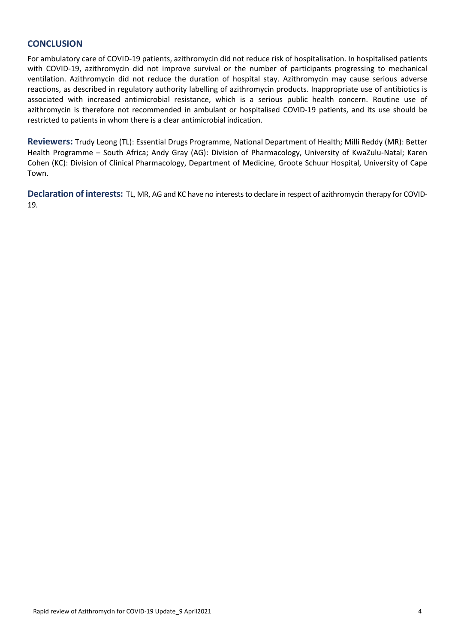# **CONCLUSION**

For ambulatory care of COVID-19 patients, azithromycin did not reduce risk of hospitalisation. In hospitalised patients with COVID-19, azithromycin did not improve survival or the number of participants progressing to mechanical ventilation. Azithromycin did not reduce the duration of hospital stay. Azithromycin may cause serious adverse reactions, as described in regulatory authority labelling of azithromycin products. Inappropriate use of antibiotics is associated with increased antimicrobial resistance, which is a serious public health concern. Routine use of azithromycin is therefore not recommended in ambulant or hospitalised COVID-19 patients, and its use should be restricted to patients in whom there is a clear antimicrobial indication.

**Reviewers:** Trudy Leong (TL): Essential Drugs Programme, National Department of Health; Milli Reddy (MR): Better Health Programme – South Africa; Andy Gray (AG): Division of Pharmacology, University of KwaZulu-Natal; Karen Cohen (KC): Division of Clinical Pharmacology, Department of Medicine, Groote Schuur Hospital, University of Cape Town.

**Declaration of interests:** TL, MR, AG and KC have no interests to declare in respect of azithromycin therapy for COVID-19.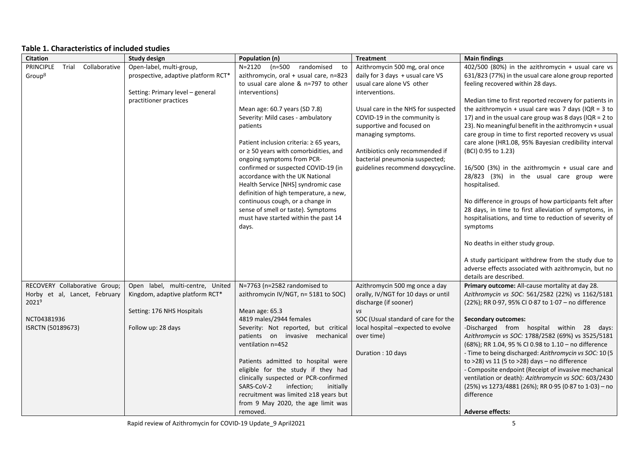# **Table 1. Characteristics of included studies**

| <b>Citation</b>                     | <b>Study design</b>                 | Population (n)                             | <b>Treatment</b>                    | <b>Main findings</b>                                     |
|-------------------------------------|-------------------------------------|--------------------------------------------|-------------------------------------|----------------------------------------------------------|
| PRINCIPLE<br>Collaborative<br>Trial | Open-label, multi-group,            | randomised to<br>N=2120 (n=500             | Azithromycin 500 mg, oral once      | 402/500 (80%) in the azithromycin + usual care vs        |
| Group <sup>8</sup>                  | prospective, adaptive platform RCT* | azithromycin, oral + usual care, n=823     | daily for 3 days + usual care VS    | 631/823 (77%) in the usual care alone group reported     |
|                                     |                                     | to usual care alone & n=797 to other       | usual care alone VS other           | feeling recovered within 28 days.                        |
|                                     | Setting: Primary level - general    | interventions)                             | interventions.                      |                                                          |
|                                     | practitioner practices              |                                            |                                     | Median time to first reported recovery for patients in   |
|                                     |                                     | Mean age: 60.7 years (SD 7.8)              | Usual care in the NHS for suspected | the azithromycin + usual care was 7 days (IQR = $3$ to   |
|                                     |                                     | Severity: Mild cases - ambulatory          | COVID-19 in the community is        | 17) and in the usual care group was 8 days (IQR = $2$ to |
|                                     |                                     | patients                                   | supportive and focused on           | 23). No meaningful benefit in the azithromycin + usual   |
|                                     |                                     |                                            | managing symptoms.                  | care group in time to first reported recovery vs usual   |
|                                     |                                     | Patient inclusion criteria: ≥ 65 years,    |                                     | care alone (HR1.08, 95% Bayesian credibility interval    |
|                                     |                                     | or $\geq$ 50 years with comorbidities, and | Antibiotics only recommended if     | (BCI) 0.95 to 1.23)                                      |
|                                     |                                     | ongoing symptoms from PCR-                 | bacterial pneumonia suspected;      |                                                          |
|                                     |                                     | confirmed or suspected COVID-19 (in        | guidelines recommend doxycycline.   | 16/500 (3%) in the azithromycin + usual care and         |
|                                     |                                     | accordance with the UK National            |                                     | 28/823 (3%) in the usual care group were                 |
|                                     |                                     | Health Service [NHS] syndromic case        |                                     | hospitalised.                                            |
|                                     |                                     | definition of high temperature, a new,     |                                     |                                                          |
|                                     |                                     | continuous cough, or a change in           |                                     | No difference in groups of how participants felt after   |
|                                     |                                     | sense of smell or taste). Symptoms         |                                     | 28 days, in time to first alleviation of symptoms, in    |
|                                     |                                     | must have started within the past 14       |                                     | hospitalisations, and time to reduction of severity of   |
|                                     |                                     | days.                                      |                                     | symptoms                                                 |
|                                     |                                     |                                            |                                     |                                                          |
|                                     |                                     |                                            |                                     | No deaths in either study group.                         |
|                                     |                                     |                                            |                                     | A study participant withdrew from the study due to       |
|                                     |                                     |                                            |                                     | adverse effects associated with azithromycin, but no     |
|                                     |                                     |                                            |                                     | details are described.                                   |
| RECOVERY Collaborative Group;       | Open label, multi-centre, United    | N=7763 (n=2582 randomised to               | Azithromycin 500 mg once a day      | Primary outcome: All-cause mortality at day 28.          |
| Horby et al, Lancet, February       | Kingdom, adaptive platform RCT*     | azithromycin IV/NGT, n= 5181 to SOC)       | orally, IV/NGT for 10 days or until | Azithromycin vs SOC: 561/2582 (22%) vs 1162/5181         |
| $2021^9$                            |                                     |                                            | discharge (if sooner)               | (22%); RR 0.97, 95% CI 0.87 to 1.07 - no difference      |
|                                     | Setting: 176 NHS Hospitals          | Mean age: 65.3                             | vs                                  |                                                          |
| NCT04381936                         |                                     | 4819 males/2944 females                    | SOC (Usual standard of care for the | <b>Secondary outcomes:</b>                               |
| ISRCTN (50189673)                   | Follow up: 28 days                  | Severity: Not reported, but critical       | local hospital -expected to evolve  | -Discharged from hospital within 28 days:                |
|                                     |                                     | patients on invasive mechanical            | over time)                          | Azithromycin vs SOC: 1788/2582 (69%) vs 3525/5181        |
|                                     |                                     | ventilation n=452                          |                                     | (68%); RR 1.04, 95 % CI 0.98 to 1.10 - no difference     |
|                                     |                                     |                                            | Duration: 10 days                   | - Time to being discharged: Azithromycin vs SOC: 10 (5   |
|                                     |                                     | Patients admitted to hospital were         |                                     | to >28) vs 11 (5 to >28) days - no difference            |
|                                     |                                     | eligible for the study if they had         |                                     | - Composite endpoint (Receipt of invasive mechanical     |
|                                     |                                     | clinically suspected or PCR-confirmed      |                                     | ventilation or death): Azithromycin vs SOC: 603/2430     |
|                                     |                                     | SARS-CoV-2<br>infection;<br>initially      |                                     | (25%) vs 1273/4881 (26%); RR 0.95 (0.87 to 1.03) - no    |
|                                     |                                     | recruitment was limited ≥18 years but      |                                     | difference                                               |
|                                     |                                     | from 9 May 2020, the age limit was         |                                     |                                                          |
|                                     |                                     | removed.                                   |                                     | <b>Adverse effects:</b>                                  |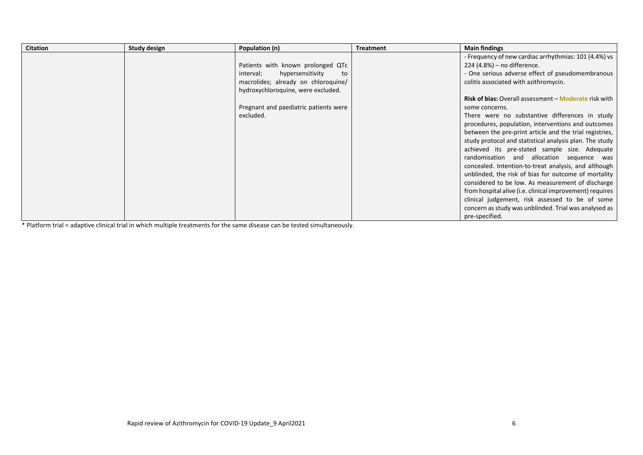| <b>Citation</b> | Study design | Population (n)                        | <b>Treatment</b> | <b>Main findings</b>                                                |
|-----------------|--------------|---------------------------------------|------------------|---------------------------------------------------------------------|
|                 |              |                                       |                  | - Frequency of new cardiac arrhythmias: 101 (4.4%) vs               |
|                 |              | Patients with known prolonged QTc     |                  | 224 (4.8%) – no difference.                                         |
|                 |              | hypersensitivity<br>interval;<br>to   |                  | - One serious adverse effect of pseudomembranous                    |
|                 |              | macrolides; already on chloroquine/   |                  | colitis associated with azithromycin.                               |
|                 |              | hydroxychloroquine, were excluded.    |                  |                                                                     |
|                 |              |                                       |                  | <b>Risk of bias:</b> Overall assessment – <b>Moderate</b> risk with |
|                 |              | Pregnant and paediatric patients were |                  | some concerns.                                                      |
|                 |              | excluded.                             |                  | There were no substantive differences in study                      |
|                 |              |                                       |                  | procedures, population, interventions and outcomes                  |
|                 |              |                                       |                  | between the pre-print article and the trial registries,             |
|                 |              |                                       |                  | study protocol and statistical analysis plan. The study             |
|                 |              |                                       |                  | achieved its pre-stated sample size. Adequate                       |
|                 |              |                                       |                  | randomisation and allocation sequence was                           |
|                 |              |                                       |                  | concealed. Intention-to-treat analysis, and although                |
|                 |              |                                       |                  | unblinded, the risk of bias for outcome of mortality                |
|                 |              |                                       |                  | considered to be low. As measurement of discharge                   |
|                 |              |                                       |                  | from hospital alive (i.e. clinical improvement) requires            |
|                 |              |                                       |                  | clinical judgement, risk assessed to be of some                     |
|                 |              |                                       |                  | concern as study was unblinded. Trial was analysed as               |
|                 |              |                                       |                  | pre-specified.                                                      |

\* Platform trial = adaptive clinical trial in which multiple treatments for the same disease can be tested simultaneously.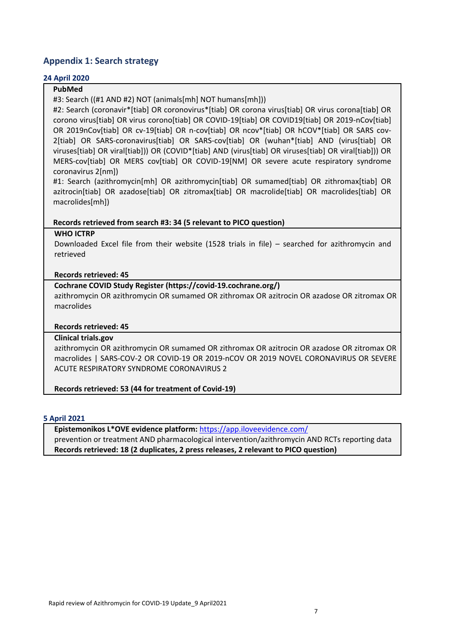# **Appendix 1: Search strategy**

# **24 April 2020**

# **PubMed**

#3: Search ((#1 AND #2) NOT (animals[mh] NOT humans[mh]))

#2: Search (coronavir\*[tiab] OR coronovirus\*[tiab] OR corona virus[tiab] OR virus corona[tiab] OR corono virus[tiab] OR virus corono[tiab] OR COVID-19[tiab] OR COVID19[tiab] OR 2019-nCov[tiab] OR 2019nCov[tiab] OR cv-19[tiab] OR n-cov[tiab] OR ncov\*[tiab] OR hCOV\*[tiab] OR SARS cov-2[tiab] OR SARS-coronavirus[tiab] OR SARS-cov[tiab] OR (wuhan\*[tiab] AND (virus[tiab] OR viruses[tiab] OR viral[tiab])) OR (COVID\*[tiab] AND (virus[tiab] OR viruses[tiab] OR viral[tiab])) OR MERS-cov[tiab] OR MERS cov[tiab] OR COVID-19[NM] OR severe acute respiratory syndrome coronavirus 2[nm])

#1: Search (azithromycin[mh] OR azithromycin[tiab] OR sumamed[tiab] OR zithromax[tiab] OR azitrocin[tiab] OR azadose[tiab] OR zitromax[tiab] OR macrolide[tiab] OR macrolides[tiab] OR macrolides[mh])

# **Records retrieved from search #3: 34 (5 relevant to PICO question)**

### **WHO ICTRP**

Downloaded Excel file from their website (1528 trials in file) – searched for azithromycin and retrieved

# **Records retrieved: 45**

# **Cochrane COVID Study Register (https://covid-19.cochrane.org/)**

azithromycin OR azithromycin OR sumamed OR zithromax OR azitrocin OR azadose OR zitromax OR macrolides

# **Records retrieved: 45**

# **Clinical trials.gov**

azithromycin OR azithromycin OR sumamed OR zithromax OR azitrocin OR azadose OR zitromax OR macrolides | SARS-COV-2 OR COVID-19 OR 2019-nCOV OR 2019 NOVEL CORONAVIRUS OR SEVERE ACUTE RESPIRATORY SYNDROME CORONAVIRUS 2

# **Records retrieved: 53 (44 for treatment of Covid-19)**

#### **5 April 2021**

**Epistemonikos L\*OVE evidence platform:** <https://app.iloveevidence.com/> prevention or treatment AND pharmacological intervention/azithromycin AND RCTs reporting data **Records retrieved: 18 (2 duplicates, 2 press releases, 2 relevant to PICO question)**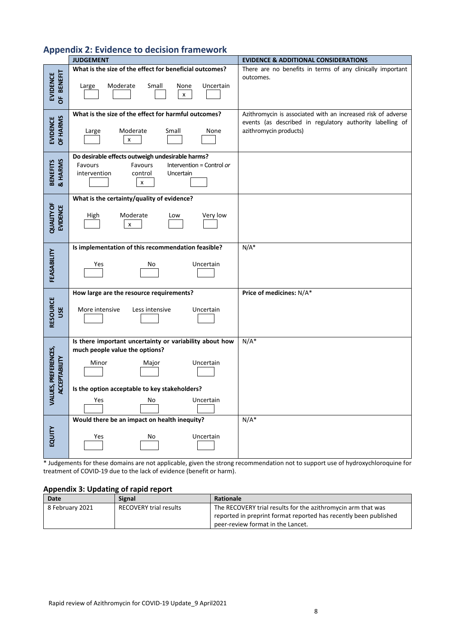| <b>JUDGEMENT</b>                                    |                                                                                                     | <b>EVIDENCE &amp; ADDITIONAL CONSIDERATIONS</b>                                     |  |
|-----------------------------------------------------|-----------------------------------------------------------------------------------------------------|-------------------------------------------------------------------------------------|--|
|                                                     | What is the size of the effect for beneficial outcomes?                                             | There are no benefits in terms of any clinically important<br>outcomes.             |  |
| <b>BENEFIT</b><br><b>EVIDENCE</b><br>$\overline{5}$ | Moderate<br>Small<br>Uncertain<br>Large<br>None<br>X                                                |                                                                                     |  |
|                                                     | What is the size of the effect for harmful outcomes?                                                | Azithromycin is associated with an increased risk of adverse                        |  |
| EVIDENCE<br>OF HARMS                                | Moderate<br>Small<br>None<br>Large<br>X                                                             | events (as described in regulatory authority labelling of<br>azithromycin products) |  |
|                                                     | Do desirable effects outweigh undesirable harms?<br>Favours<br>Favours<br>Intervention = Control or |                                                                                     |  |
| & HARMS<br><b>BENEFITS</b>                          | control<br>Uncertain<br>intervention                                                                |                                                                                     |  |
|                                                     | x                                                                                                   |                                                                                     |  |
|                                                     | What is the certainty/quality of evidence?                                                          |                                                                                     |  |
| <b>QUALITY OF</b><br>EVIDENCE                       | Moderate<br><b>High</b><br>Very low<br>Low<br>x                                                     |                                                                                     |  |
|                                                     |                                                                                                     |                                                                                     |  |
|                                                     | Is implementation of this recommendation feasible?                                                  | $N/A^*$                                                                             |  |
| FEASABILITY                                         | Yes<br>Uncertain<br>No                                                                              |                                                                                     |  |
|                                                     | How large are the resource requirements?                                                            | Price of medicines: N/A*                                                            |  |
| RESOURCE<br>USE                                     | More intensive<br>Less intensive<br>Uncertain                                                       |                                                                                     |  |
|                                                     | Is there important uncertainty or variability about how<br>much people value the options?           | $N/A^*$                                                                             |  |
|                                                     | Minor<br>Uncertain<br>Major                                                                         |                                                                                     |  |
|                                                     |                                                                                                     |                                                                                     |  |
| LUES, PREFERENCES,<br><b>ACCEPTABILITY</b>          | Is the option acceptable to key stakeholders?                                                       |                                                                                     |  |
| ℥                                                   | Uncertain<br>Yes<br>No                                                                              |                                                                                     |  |
|                                                     | Would there be an impact on health inequity?                                                        | $N/A^*$                                                                             |  |
| EQUITY                                              | Uncertain<br>Yes<br>No                                                                              |                                                                                     |  |

\* Judgements for these domains are not applicable, given the strong recommendation not to support use of hydroxychloroquine for treatment of COVID-19 due to the lack of evidence (benefit or harm).

# **Appendix 3: Updating of rapid report**

| <b>Date</b>     | <b>Signal</b>                 | Rationale                                                        |
|-----------------|-------------------------------|------------------------------------------------------------------|
| 8 February 2021 | <b>RECOVERY trial results</b> | The RECOVERY trial results for the azithromycin arm that was     |
|                 |                               | reported in preprint format reported has recently been published |
|                 |                               | peer-review format in the Lancet.                                |